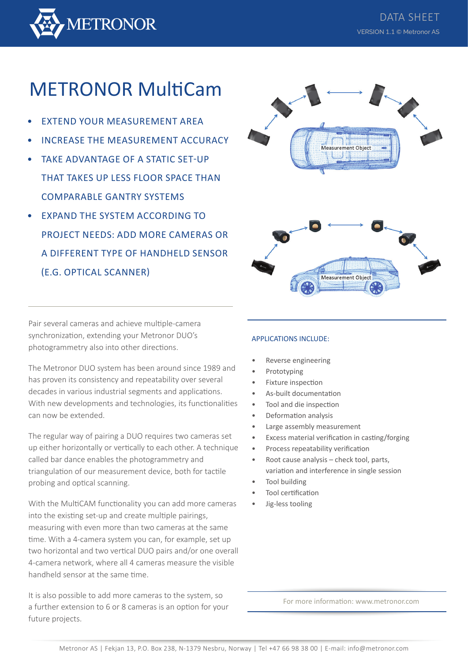

# METRONOR MultiCam

- EXTEND YOUR MEASUREMENT AREA
- INCREASE THE MEASUREMENT ACCURACY
- TAKE ADVANTAGE OF A STATIC SET-UP THAT TAKES UP LESS FLOOR SPACE THAN COMPARABLE GANTRY SYSTEMS
- **EXPAND THE SYSTEM ACCORDING TO** PROJECT NEEDS: ADD MORE CAMERAS OR A DIFFERENT TYPE OF HANDHELD SENSOR (E.G. OPTICAL SCANNER)

Measurement Object **Measurement Obie** 

Pair several cameras and achieve multiple-camera synchronization, extending your Metronor DUO's photogrammetry also into other directions.

The Metronor DUO system has been around since 1989 and has proven its consistency and repeatability over several decades in various industrial segments and applications. With new developments and technologies, its functionalities can now be extended.

The regular way of pairing a DUO requires two cameras set up either horizontally or vertically to each other. A technique called bar dance enables the photogrammetry and triangulation of our measurement device, both for tactile probing and optical scanning.

With the MultiCAM functionality you can add more cameras into the existing set-up and create multiple pairings, measuring with even more than two cameras at the same time. With a 4-camera system you can, for example, set up two horizontal and two vertical DUO pairs and/or one overall 4-camera network, where all 4 cameras measure the visible handheld sensor at the same time.

It is also possible to add more cameras to the system, so a further extension to 6 or 8 cameras is an option for your future projects.

## APPLICATIONS INCLUDE:

- Reverse engineering
- Prototyping
- Fixture inspection
- As-built documentation
- Tool and die inspection
- Deformation analysis
- Large assembly measurement
- Excess material verification in casting/forging
- Process repeatability verification
- Root cause analysis check tool, parts, variation and interference in single session
- Tool building
- Tool certification
- Jig-less tooling

For more information: www.metronor.com